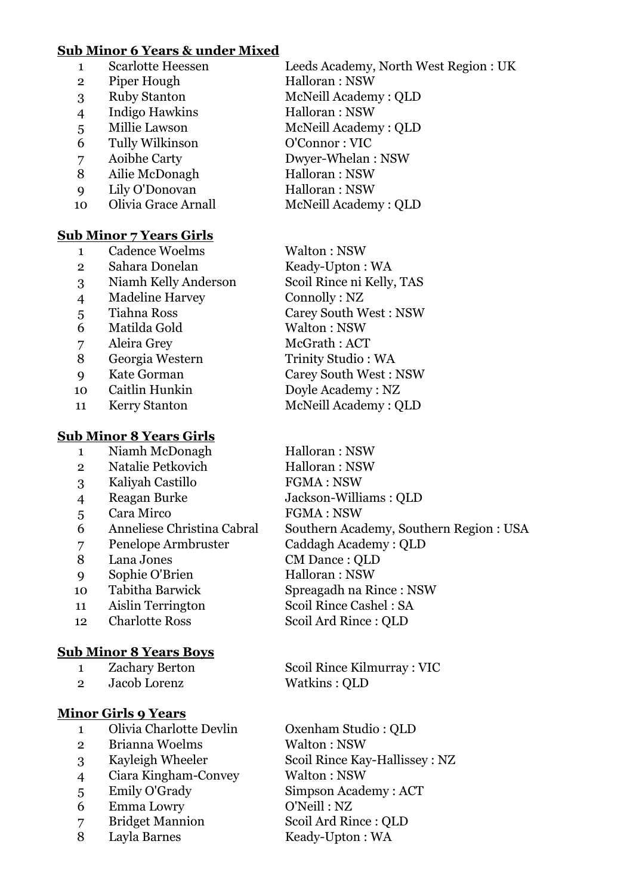### **Sub Minor 6 Years & under Mixed**

|                | <b>Scarlotte Heessen</b> | Leeds Academy, North West Region: UK |
|----------------|--------------------------|--------------------------------------|
|                |                          |                                      |
| $\overline{2}$ | Piper Hough              | Halloran: NSW                        |
| 3              | <b>Ruby Stanton</b>      | McNeill Academy: QLD                 |
| $\overline{4}$ | <b>Indigo Hawkins</b>    | Halloran: NSW                        |
| 5              | Millie Lawson            | McNeill Academy: QLD                 |
| 6              | Tully Wilkinson          | O'Connor: VIC                        |
| 7              | Aoibhe Carty             | Dwyer-Whelan: NSW                    |
| 8              | Ailie McDonagh           | Halloran: NSW                        |
| 9              | Lily O'Donovan           | Halloran: NSW                        |
| 10             | Olivia Grace Arnall      | McNeill Academy: QLD                 |
|                |                          |                                      |

# **Sub Minor 7 Years Girls**

|                | <b>Cadence Woelms</b>  | Walton: NSW                  |
|----------------|------------------------|------------------------------|
| $\overline{2}$ | Sahara Donelan         | Keady-Upton: WA              |
| 3              | Niamh Kelly Anderson   | Scoil Rince ni Kelly, TAS    |
| $\overline{4}$ | <b>Madeline Harvey</b> | Connolly: NZ                 |
| 5              | <b>Tiahna Ross</b>     | <b>Carey South West: NSW</b> |
| 6              | Matilda Gold           | Walton: NSW                  |
| 7              | Aleira Grey            | McGrath: ACT                 |
| 8              | Georgia Western        | Trinity Studio: WA           |
| $\mathbf Q$    | Kate Gorman            | <b>Carey South West: NSW</b> |
| 10             | Caitlin Hunkin         | Doyle Academy: NZ            |
| 11             | <b>Kerry Stanton</b>   | McNeill Academy: QLD         |
|                |                        |                              |

#### **Sub Minor 8 Years Girls** Niamh McDonagh Halloran : NSW

- Natalie Petkovich Halloran : NSW
- Kaliyah Castillo FGMA : NSW
- Reagan Burke Jackson-Williams : QLD
- 5 Cara Mirco FGMA : NSW
- Anneliese Christina Cabral Southern Academy, Southern Region : USA
- Penelope Armbruster Caddagh Academy : QLD
- Lana Jones CM Dance : QLD
- Sophie O'Brien Halloran : NSW
- Tabitha Barwick Spreagadh na Rince : NSW
- Aislin Terrington Scoil Rince Cashel : SA
- 12 Charlotte Ross Scoil Ard Rince : QLD

# **Sub Minor 8 Years Boys**

- 
- Jacob Lorenz Watkins : QLD

# **Minor Girls 9 Years**

- Olivia Charlotte Devlin Oxenham Studio : QLD
- 2 Brianna Woelms Walton : NSW
- 
- Ciara Kingham-Convey Walton : NSW
- 
- Emma Lowry O'Neill : NZ
- 
- 8 Layla Barnes Keady-Upton : WA
- Zachary Berton Scoil Rince Kilmurray : VIC
	-
- Kayleigh Wheeler Scoil Rince Kay-Hallissey : NZ
- Emily O'Grady Simpson Academy : ACT
- Bridget Mannion Scoil Ard Rince : QLD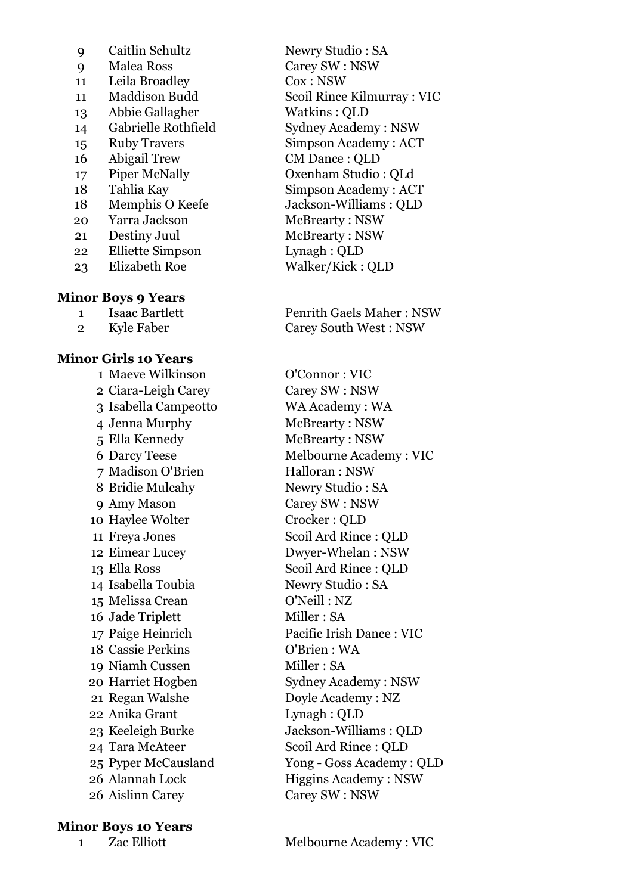| 9              | Caitlin Schultz         |
|----------------|-------------------------|
| $\overline{Q}$ | Malea Ross              |
| 11             | Leila Broadley          |
| 11             | Maddison Budd           |
| 13             | Abbie Gallagher         |
| 14             | Gabrielle Rothfield     |
| 15             | <b>Ruby Travers</b>     |
| 16             | Abigail Trew            |
| 17             | <b>Piper McNally</b>    |
| 18             | Tahlia Kay              |
| 18             | Memphis O Keefe         |
| 20             | Yarra Jackson           |
| 21             | Destiny Juul            |
| 22             | <b>Elliette Simpson</b> |
| 23             | <b>Elizabeth Roe</b>    |
|                |                         |

#### **Minor Boys 9 Years**

#### **Minor Girls 10 Years**

 Maeve Wilkinson O'Connor : VIC Ciara-Leigh Carey Carey SW : NSW Isabella Campeotto WA Academy : WA Jenna Murphy McBrearty : NSW Ella Kennedy McBrearty : NSW Madison O'Brien Halloran : NSW 8 Bridie Mulcahy Newry Studio : SA Amy Mason Carey SW : NSW 10 Haylee Wolter Crocker: QLD 14 Isabella Toubia Newry Studio : SA Melissa Crean O'Neill : NZ 16 Jade Triplett Miller : SA Cassie Perkins O'Brien : WA 19 Niamh Cussen Miller : SA Regan Walshe Doyle Academy : NZ Anika Grant Lynagh : QLD Aislinn Carey Carey SW : NSW

# **Minor Boys 10 Years**

Newry Studio : SA Carey SW : NSW  $Cox : NSW$ Scoil Rince Kilmurray : VIC Watkins : OLD Sydney Academy : NSW Simpson Academy : ACT CM Dance : OLD Oxenham Studio : OLd Simpson Academy : ACT Jackson-Williams : OLD McBrearty : NSW McBrearty: NSW Lynagh : QLD Walker/Kick : QLD

1 Isaac Bartlett Penrith Gaels Maher : NSW 2 Kyle Faber Carey South West : NSW

 Darcy Teese Melbourne Academy : VIC Freya Jones Scoil Ard Rince : QLD Eimear Lucey Dwyer-Whelan : NSW 13 Ella Ross Scoil Ard Rince : QLD Paige Heinrich Pacific Irish Dance : VIC Harriet Hogben Sydney Academy : NSW Keeleigh Burke Jackson-Williams : QLD Tara McAteer Scoil Ard Rince : QLD Pyper McCausland Yong - Goss Academy : QLD 26 Alannah Lock Higgins Academy : NSW

1 Zac Elliott Melbourne Academy : VIC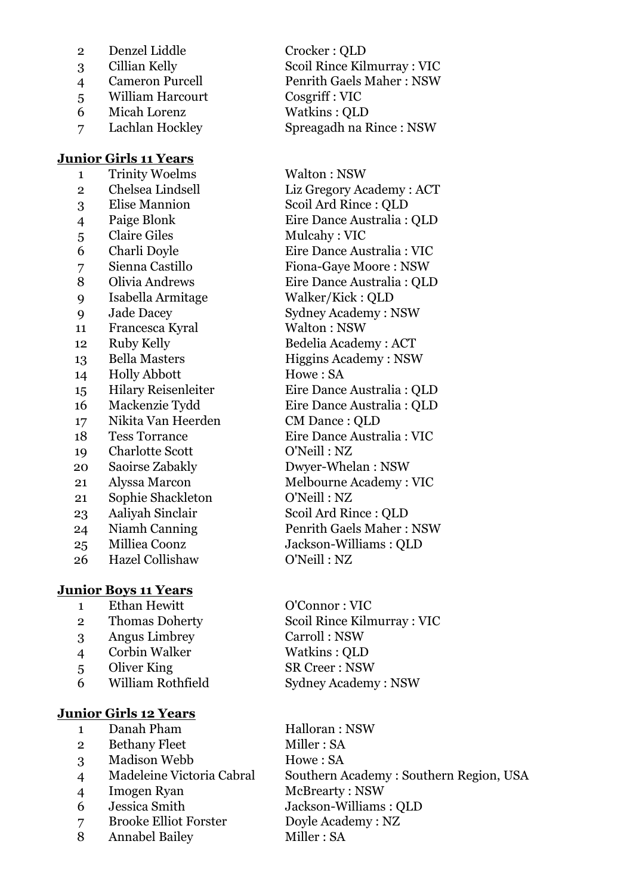- Denzel Liddle Crocker : QLD
- 
- 
- William Harcourt Cosgriff : VIC
- Micah Lorenz Watkins : QLD
- 

# **Junior Girls 11 Years**

 Trinity Woelms Walton : NSW Chelsea Lindsell Liz Gregory Academy : ACT Elise Mannion Scoil Ard Rince : QLD Paige Blonk Eire Dance Australia : QLD 5 Claire Giles Mulcahy : VIC Charli Doyle Eire Dance Australia : VIC Sienna Castillo Fiona-Gaye Moore : NSW Olivia Andrews Eire Dance Australia : QLD Isabella Armitage Walker/Kick : QLD Jade Dacey Sydney Academy : NSW 11 Francesca Kyral Walton : NSW Ruby Kelly Bedelia Academy : ACT 13 Bella Masters Higgins Academy : NSW 14 Holly Abbott Howe : SA Hilary Reisenleiter Eire Dance Australia : QLD Mackenzie Tydd Eire Dance Australia : QLD Nikita Van Heerden CM Dance : QLD Tess Torrance Eire Dance Australia : VIC Charlotte Scott O'Neill : NZ Saoirse Zabakly Dwyer-Whelan : NSW Alyssa Marcon Melbourne Academy : VIC Sophie Shackleton O'Neill : NZ Aaliyah Sinclair Scoil Ard Rince : QLD 24 Niamh Canning Penrith Gaels Maher : NSW Milliea Coonz Jackson-Williams : QLD Hazel Collishaw O'Neill : NZ

# **Junior Boys 11 Years**

- Ethan Hewitt O'Connor : VIC
- 
- Angus Limbrey Carroll : NSW
- Corbin Walker Watkins : QLD
- 5 Oliver King SR Creer : NSW
- 

# **Junior Girls 12 Years**

- 1 Danah Pham Halloran : NSW
- 2 Bethany Fleet Miller : SA
- 3 Madison Webb Howe: SA
- 
- 4 Imogen Ryan McBrearty : NSW
- 
- Brooke Elliot Forster Doyle Academy : NZ
- 8 Annabel Bailey Miller : SA

 Cillian Kelly Scoil Rince Kilmurray : VIC Cameron Purcell Penrith Gaels Maher : NSW Lachlan Hockley Spreagadh na Rince : NSW

 Thomas Doherty Scoil Rince Kilmurray : VIC William Rothfield Sydney Academy : NSW

 Madeleine Victoria Cabral Southern Academy : Southern Region, USA Jessica Smith Jackson-Williams : QLD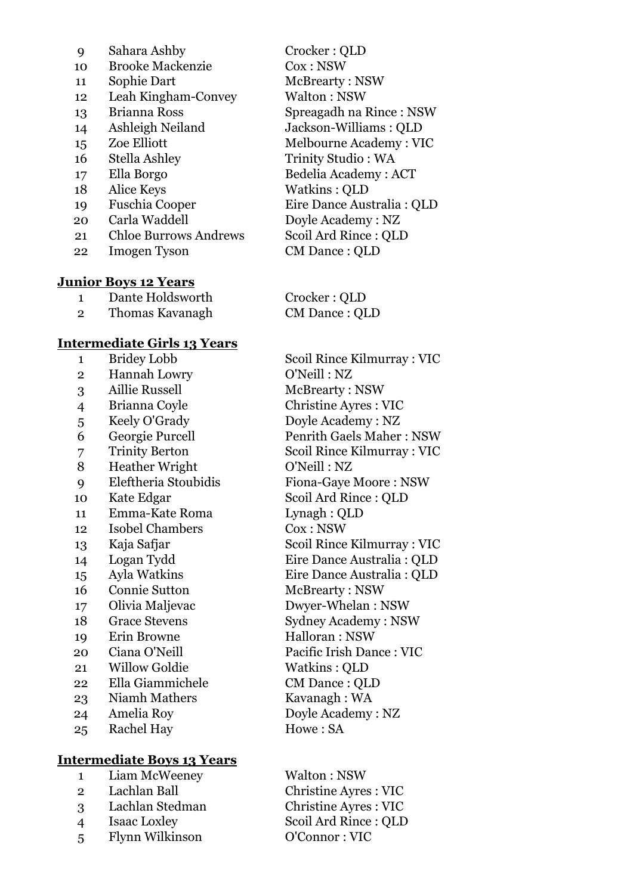| 9  | Sahara Ashby                 | Crocker: QLD               |
|----|------------------------------|----------------------------|
| 10 | <b>Brooke Mackenzie</b>      | Cox : NSW                  |
| 11 | Sophie Dart                  | McBrearty: NSW             |
| 12 | Leah Kingham-Convey          | Walton: NSW                |
| 13 | Brianna Ross                 | Spreagadh na Rince: NSW    |
| 14 | Ashleigh Neiland             | Jackson-Williams: QLD      |
| 15 | Zoe Elliott                  | Melbourne Academy: VIC     |
| 16 | Stella Ashley                | Trinity Studio: WA         |
| 17 | Ella Borgo                   | Bedelia Academy: ACT       |
| 18 | Alice Keys                   | Watkins: QLD               |
| 19 | <b>Fuschia Cooper</b>        | Eire Dance Australia : QLD |
| 20 | Carla Waddell                | Doyle Academy: NZ          |
| 21 | <b>Chloe Burrows Andrews</b> | Scoil Ard Rince: QLD       |
| 22 | <b>Imogen Tyson</b>          | CM Dance: QLD              |
|    |                              |                            |
|    | <b>Junior Boys 12 Years</b>  |                            |

|   | Dante Holdsworth | Crocker: QLD   |
|---|------------------|----------------|
| 2 | Thomas Kavanagh  | CM Dance : QLD |

## **Intermediate Girls 13 Years**

| 1               | <b>Bridey Lobb</b>     |
|-----------------|------------------------|
| $\overline{2}$  | Hannah Lowry           |
| 3               | <b>Aillie Russell</b>  |
| $\overline{4}$  | Brianna Coyle          |
| 5               | Keely O'Grady          |
| 6               | Georgie Purcell        |
| $\overline{7}$  | <b>Trinity Berton</b>  |
| 8               | <b>Heather Wright</b>  |
| 9               | Eleftheria Stoubidis   |
| 10              | Kate Edgar             |
| 11              | Emma-Kate Roma         |
| 12 <sup>°</sup> | <b>Isobel Chambers</b> |
| 13              | Kaja Safjar            |
| 14              | Logan Tydd             |
| 15              | Ayla Watkins           |
| 16              | <b>Connie Sutton</b>   |
| 17              | Olivia Maljevac        |
| 18              | <b>Grace Stevens</b>   |
| 19              | Erin Browne            |
| 20              | Ciana O'Neill          |
| 21              | <b>Willow Goldie</b>   |
| $22\,$          | Ella Giammichele       |
| 23              | Niamh Mathers          |
| 24              | Amelia Roy             |
| 25              | <b>Rachel Hay</b>      |
|                 |                        |

# **Intermediate Boys 13 Years**

| $1 \quad \blacksquare$ | Liam McWeeney       | Walton: NSW                 |
|------------------------|---------------------|-----------------------------|
| $2^{\circ}$            | Lachlan Ball        | <b>Christine Ayres: VIC</b> |
| $\mathbf{P}$           | Lachlan Stedman     | <b>Christine Ayres: VIC</b> |
| 4                      | <b>Isaac Loxley</b> | Scoil Ard Rince: QLD        |
| 5 <sup>1</sup>         | Flynn Wilkinson     | O'Connor: VIC               |
|                        |                     |                             |

Scoil Rince Kilmurray : VIC O'Neill : NZ McBrearty: NSW Christine Ayres : VIC Doyle Academy : NZ Penrith Gaels Maher : NSW Scoil Rince Kilmurray : VIC O'Neill : NZ Fiona-Gaye Moore : NSW Scoil Ard Rince : QLD Lynagh : QLD  $Cox : NSW$ Scoil Rince Kilmurray : VIC Eire Dance Australia : QLD Eire Dance Australia : QLD McBrearty: NSW Dwyer-Whelan : NSW Sydney Academy : NSW Halloran : NSW Pacific Irish Dance : VIC Watkins : QLD CM Dance : QLD Kavanagh : WA Doyle Academy : NZ Howe : SA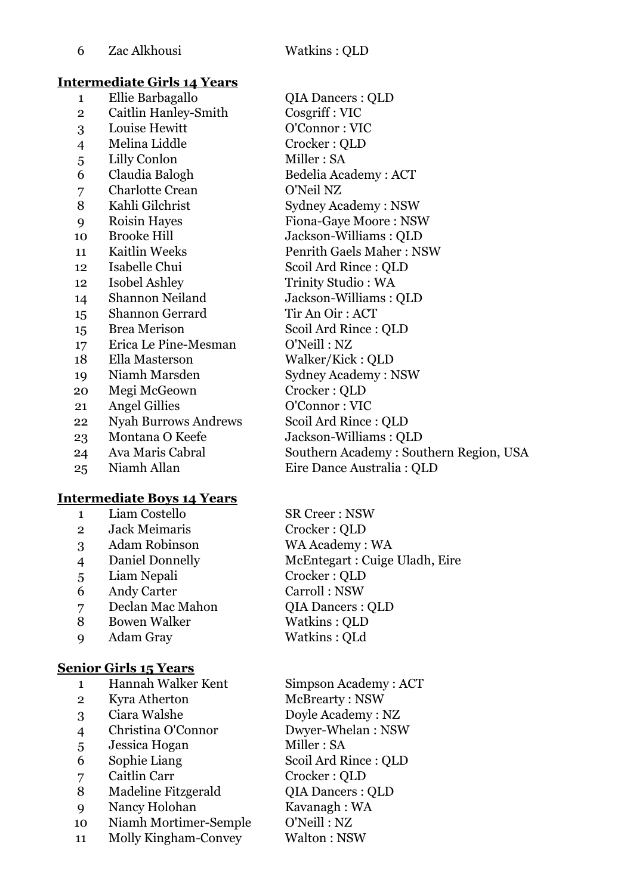### **Intermediate Girls 14 Years**

| 1              | Ellie Barbagallo            |
|----------------|-----------------------------|
| $\overline{2}$ | Caitlin Hanley-Smith        |
| 3              | Louise Hewitt               |
| $\overline{4}$ | Melina Liddle               |
| 5              | Lilly Conlon                |
| 6              | Claudia Balogh              |
| $\overline{7}$ | <b>Charlotte Crean</b>      |
| 8              | Kahli Gilchrist             |
| 9              | Roisin Hayes                |
| 10             | <b>Brooke Hill</b>          |
| 11             | <b>Kaitlin Weeks</b>        |
| 12             | Isabelle Chui               |
| 12             | <b>Isobel Ashley</b>        |
| 14             | Shannon Neiland             |
| 15             | Shannon Gerrard             |
| 15             | <b>Brea Merison</b>         |
| 17             | Erica Le Pine-Mesman        |
| 18             | Ella Masterson              |
| 19             | Niamh Marsden               |
| 20             | Megi McGeown                |
| 21             | <b>Angel Gillies</b>        |
| 22             | <b>Nyah Burrows Andrews</b> |
| 23             | Montana O Keefe             |
| 24             | Ava Maris Cabral            |
| ിട             | Niomh Allon.                |

# **Intermediate Boys 14 Years**

|                | Liam Costello        | <b>SR Creer: NSW</b>          |
|----------------|----------------------|-------------------------------|
| $\overline{2}$ | <b>Jack Meimaris</b> | Crocker: QLD                  |
| 3              | <b>Adam Robinson</b> | WA Academy: WA                |
| $\overline{4}$ | Daniel Donnelly      | McEntegart: Cuige Uladh, Eire |
| 5              | Liam Nepali          | Crocker: QLD                  |
| 6              | Andy Carter          | Carroll: NSW                  |
| 7              | Declan Mac Mahon     | <b>QIA Dancers: QLD</b>       |
| 8              | <b>Bowen Walker</b>  | Watkins: QLD                  |
| Q              | Adam Gray            | Watkins: QLd                  |
|                |                      |                               |

# **Senior Girls 15 Years**

| Hannah Walker Kent |  |
|--------------------|--|
|                    |  |

- 
- 
- 
- 5 Jessica Hogan Miller : SA
- 
- 
- 8 Madeline Fitzgerald QIA Dancers : QLD
- 9 Nancy Holohan Kavanagh : WA
- 10 Niamh Mortimer-Semple O'Neill : NZ
- 11 Molly Kingham-Convey Walton : NSW

QIA Dancers : QLD Cosgriff : VIC O'Connor : VIC Crocker : QLD Miller : SA Bedelia Academy : ACT O'Neil NZ Sydney Academy : NSW Fiona-Gaye Moore : NSW Jackson-Williams : QLD Penrith Gaels Maher : NSW Scoil Ard Rince : OLD Trinity Studio : WA Jackson-Williams : QLD Tir An Oir : ACT Scoil Ard Rince : QLD O'Neill : NZ Walker/Kick : QLD Sydney Academy : NSW Crocker : OLD O'Connor : VIC Scoil Ard Rince : QLD Jackson-Williams : OLD Southern Academy : Southern Region, USA 25 Niamh Allan Eire Dance Australia : QLD

Simpson Academy : ACT 2 Kyra Atherton McBrearty : NSW Ciara Walshe Doyle Academy : NZ Christina O'Connor Dwyer-Whelan : NSW Sophie Liang Scoil Ard Rince : QLD Caitlin Carr Crocker : QLD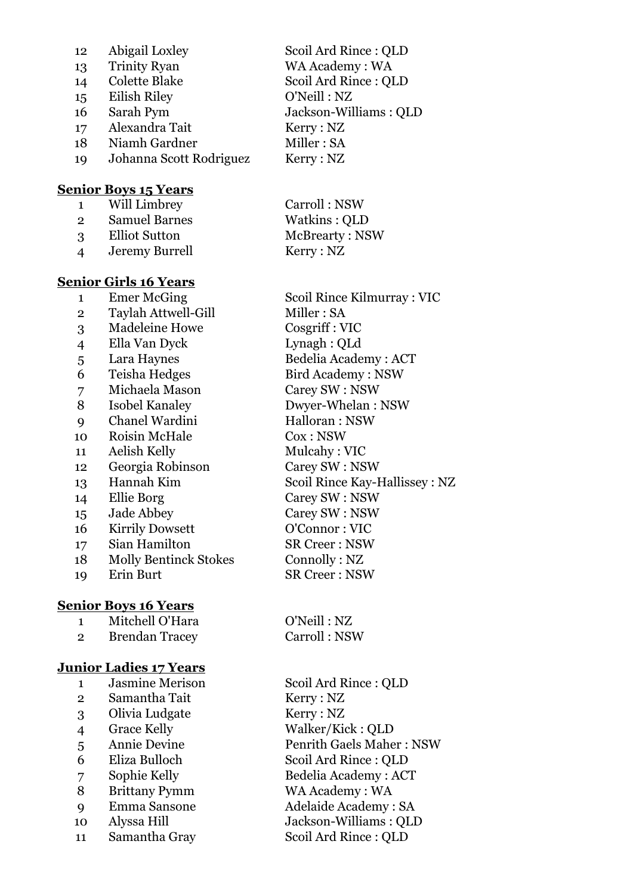| 12 | Abigail Loxley          | Scoil Ard Rince: QLD  |
|----|-------------------------|-----------------------|
| 13 | <b>Trinity Ryan</b>     | WA Academy: WA        |
| 14 | <b>Colette Blake</b>    | Scoil Ard Rince: QLD  |
| 15 | Eilish Riley            | O'Neill: NZ           |
| 16 | Sarah Pym               | Jackson-Williams: QLD |
| 17 | Alexandra Tait          | Kerry: NZ             |
| 18 | Niamh Gardner           | Miller: SA            |
| 19 | Johanna Scott Rodriguez | Kerry : NZ            |
|    |                         |                       |

#### **Senior Boys 15 Years**

|               | Will Limbrey         | Carroll: NSW   |
|---------------|----------------------|----------------|
| $\mathcal{P}$ | <b>Samuel Barnes</b> | Watkins: QLD   |
| $\mathcal{R}$ | <b>Elliot Sutton</b> | McBrearty: NSW |
|               | Jeremy Burrell       | Kerry : NZ     |

#### **Senior Girls 16 Years**

| T              | <b>ETHET MCGHIS</b>          |
|----------------|------------------------------|
| 2              | Taylah Attwell-Gill          |
| 3              | <b>Madeleine Howe</b>        |
| $\overline{4}$ | Ella Van Dyck                |
| 5              | Lara Haynes                  |
| 6              | Teisha Hedges                |
| 7              | Michaela Mason               |
| 8              | <b>Isobel Kanaley</b>        |
| 9              | Chanel Wardini               |
| 10             | Roisin McHale                |
| 11             | Aelish Kelly                 |
| 12             | Georgia Robinson             |
| 13             | Hannah Kim                   |
| 14             | Ellie Borg                   |
| 15             | Jade Abbey                   |
| 16             | <b>Kirrily Dowsett</b>       |
| 17             | Sian Hamilton                |
| 18             | <b>Molly Bentinck Stokes</b> |
| 19             | Erin Burt                    |
|                |                              |
|                |                              |

# **Senior Boys 16 Years**

| Mitchell O'Hara |
|-----------------|
|                 |

2 Brendan Tracey Carroll : NSW

# **Junior Ladies 17 Years**

- 1 Jasmine Merison Scoil Ard Rince : QLD
- 2 Samantha Tait Kerry : NZ
- 3 Olivia Ludgate Kerry : NZ
- 
- 
- 
- 
- 8 Brittany Pymm WA Academy : WA
- 
- 
- 11 Samantha Gray Scoil Ard Rince : QLD

1 Emer McGing Scoil Rince Kilmurray : VIC Miller : SA Cosgriff : VIC Lynagh : QLd Bedelia Academy : ACT Bird Academy : NSW Carey SW : NSW Dwyer-Whelan : NSW Halloran : NSW  $Cox : NSW$ Mulcahy : VIC Carey SW : NSW Scoil Rince Kay-Hallissey : NZ Carey SW : NSW Carey SW : NSW 0'Connor : VIC **SR Creer : NSW** Connolly : NZ **SR Creer : NSW** 

O'Neill : NZ

 Grace Kelly Walker/Kick : QLD Annie Devine Penrith Gaels Maher : NSW Eliza Bulloch Scoil Ard Rince : QLD 7 Sophie Kelly Bedelia Academy : ACT Emma Sansone Adelaide Academy : SA Alyssa Hill Jackson-Williams : QLD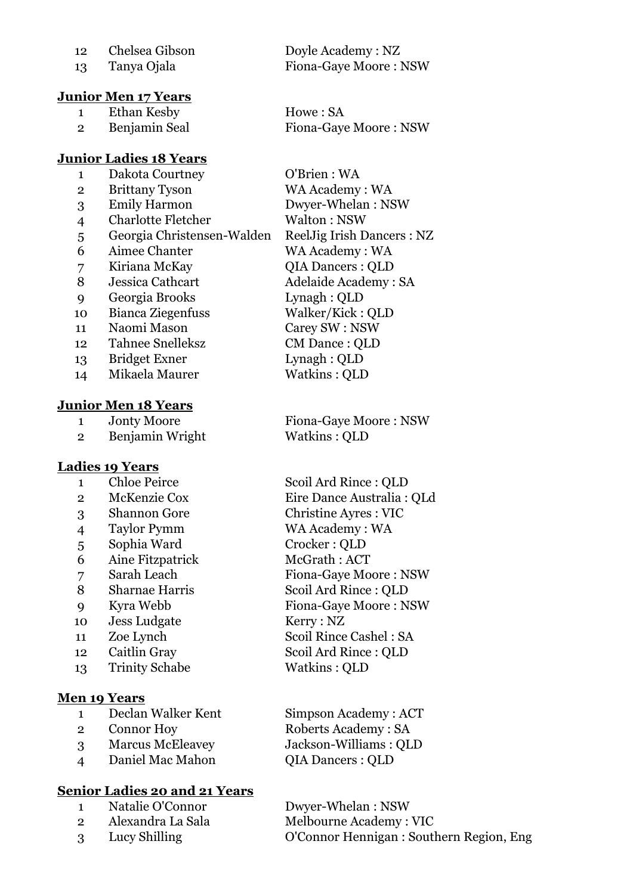### **Junior Men 17 Years**

1 Ethan Kesby Howe : SA

### **Junior Ladies 18 Years**

| 1              | Dakota Courtney            | O'Brien : WA        |
|----------------|----------------------------|---------------------|
| $\overline{2}$ | <b>Brittany Tyson</b>      | WA Academy:         |
| 3              | <b>Emily Harmon</b>        | Dwyer-Whelar        |
| 4              | <b>Charlotte Fletcher</b>  | Walton : NSW        |
| 5              | Georgia Christensen-Walden | ReelJig Irish I     |
| 6              | Aimee Chanter              | WA Academy:         |
| 7              | Kiriana McKay              | <b>QIA Dancers:</b> |
| 8              | Jessica Cathcart           | Adelaide Acad       |
| 9              | Georgia Brooks             | Lynagh: QLD         |
| 10             | Bianca Ziegenfuss          | Walker/Kick:        |
| 11             | Naomi Mason                | Carey SW : NS       |
| 12             | <b>Tahnee Snelleksz</b>    | CM Dance: Ql        |
| 13             | <b>Bridget Exner</b>       | Lynagh: QLD         |
| 14             | Mikaela Maurer             | Watkins: QLD        |
|                |                            |                     |

### **Junior Men 18 Years**

2 Benjamin Wright Watkins : QLD

#### **Ladies 19 Years**

- 1 Chloe Peirce Scoil Ard Rince : QLD 3 Shannon Gore Christine Ayres : VIC 4 Taylor Pymm WA Academy : WA 5 Sophia Ward Crocker : QLD 6 Aine Fitzpatrick McGrath : ACT 8 Sharnae Harris Scoil Ard Rince : QLD 10 Jess Ludgate Kerry : NZ 11 Zoe Lynch Scoil Rince Cashel : SA
- 
- 13 Trinity Schabe Watkins : QLD

# **Men 19 Years**

- 1 Declan Walker Kent Simpson Academy : ACT
- 
- 3 Marcus McEleavey Jackson-Williams : QLD
- 4 Daniel Mac Mahon QIA Dancers : QLD

# **Senior Ladies 20 and 21 Years**

- 1 Natalie O'Connor Dwyer-Whelan : NSW
- 
- 

12 Chelsea Gibson Doyle Academy : NZ 13 Tanya Ojala Fiona-Gaye Moore : NSW

2 Benjamin Seal Fiona-Gave Moore : NSW

demy : WA  $W$ helan : NSW Irish Dancers : NZ demy : WA ncers : QLD e Academy : SA  $Kick : QLD$  $W : \mathrm{NSW}$  $\text{ice} : \text{OLD}$  $:$  OLD  $: QLD$ 

1 Jonty Moore Fiona-Gaye Moore : NSW

 McKenzie Cox Eire Dance Australia : QLd Sarah Leach Fiona-Gaye Moore : NSW Kyra Webb Fiona-Gaye Moore : NSW Caitlin Gray Scoil Ard Rince : QLD

2 Connor Hoy Roberts Academy : SA

2 Alexandra La Sala Melbourne Academy : VIC 3 Lucy Shilling O'Connor Hennigan : Southern Region, Eng